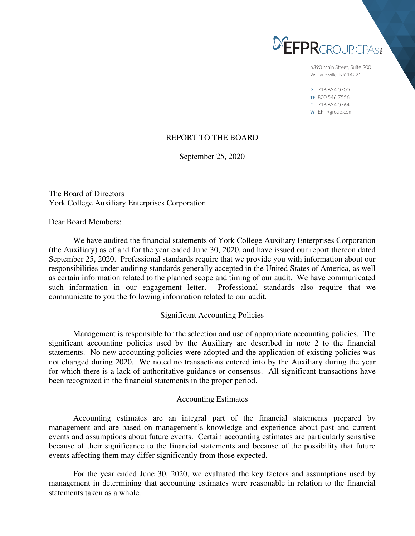

6390 Main Street, Suite 200 Williamsville, NY 14221

P 716.634.0700 TF 800.546.7556 F 716.634.0764 W EFPRgroup.com

# REPORT TO THE BOARD

September 25, 2020

The Board of Directors York College Auxiliary Enterprises Corporation

Dear Board Members:

 We have audited the financial statements of York College Auxiliary Enterprises Corporation (the Auxiliary) as of and for the year ended June 30, 2020, and have issued our report thereon dated September 25, 2020. Professional standards require that we provide you with information about our responsibilities under auditing standards generally accepted in the United States of America, as well as certain information related to the planned scope and timing of our audit. We have communicated such information in our engagement letter. Professional standards also require that we communicate to you the following information related to our audit.

# Significant Accounting Policies

 Management is responsible for the selection and use of appropriate accounting policies. The significant accounting policies used by the Auxiliary are described in note 2 to the financial statements. No new accounting policies were adopted and the application of existing policies was not changed during 2020. We noted no transactions entered into by the Auxiliary during the year for which there is a lack of authoritative guidance or consensus. All significant transactions have been recognized in the financial statements in the proper period.

### Accounting Estimates

 Accounting estimates are an integral part of the financial statements prepared by management and are based on management's knowledge and experience about past and current events and assumptions about future events. Certain accounting estimates are particularly sensitive because of their significance to the financial statements and because of the possibility that future events affecting them may differ significantly from those expected.

 For the year ended June 30, 2020, we evaluated the key factors and assumptions used by management in determining that accounting estimates were reasonable in relation to the financial statements taken as a whole.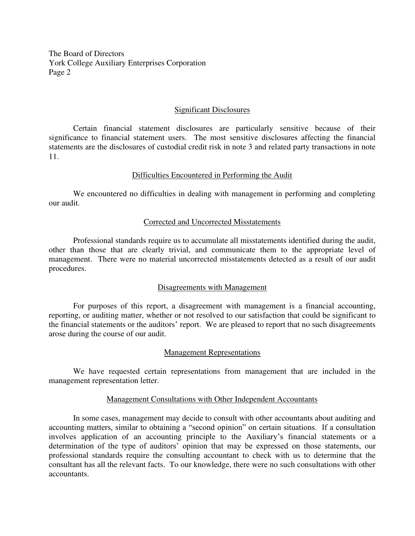The Board of Directors York College Auxiliary Enterprises Corporation Page 2

## Significant Disclosures

 Certain financial statement disclosures are particularly sensitive because of their significance to financial statement users. The most sensitive disclosures affecting the financial statements are the disclosures of custodial credit risk in note 3 and related party transactions in note 11.

## Difficulties Encountered in Performing the Audit

 We encountered no difficulties in dealing with management in performing and completing our audit.

## Corrected and Uncorrected Misstatements

 Professional standards require us to accumulate all misstatements identified during the audit, other than those that are clearly trivial, and communicate them to the appropriate level of management. There were no material uncorrected misstatements detected as a result of our audit procedures.

# Disagreements with Management

 For purposes of this report, a disagreement with management is a financial accounting, reporting, or auditing matter, whether or not resolved to our satisfaction that could be significant to the financial statements or the auditors' report. We are pleased to report that no such disagreements arose during the course of our audit.

### Management Representations

 We have requested certain representations from management that are included in the management representation letter.

### Management Consultations with Other Independent Accountants

 In some cases, management may decide to consult with other accountants about auditing and accounting matters, similar to obtaining a "second opinion" on certain situations. If a consultation involves application of an accounting principle to the Auxiliary's financial statements or a determination of the type of auditors' opinion that may be expressed on those statements, our professional standards require the consulting accountant to check with us to determine that the consultant has all the relevant facts. To our knowledge, there were no such consultations with other accountants.